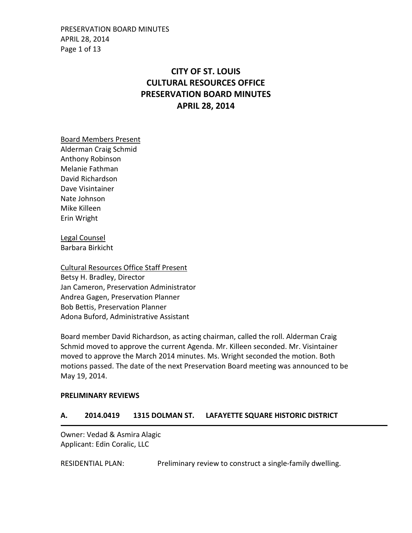PRESERVATION BOARD MINUTES APRIL 28, 2014 Page 1 of 13

# **CITY OF ST. LOUIS CULTURAL RESOURCES OFFICE PRESERVATION BOARD MINUTES APRIL 28, 2014**

Board Members Present Alderman Craig Schmid Anthony Robinson Melanie Fathman David Richardson Dave Visintainer Nate Johnson Mike Killeen Erin Wright

Legal Counsel Barbara Birkicht

Cultural Resources Office Staff Present Betsy H. Bradley, Director Jan Cameron, Preservation Administrator Andrea Gagen, Preservation Planner Bob Bettis, Preservation Planner Adona Buford, Administrative Assistant

Board member David Richardson, as acting chairman, called the roll. Alderman Craig Schmid moved to approve the current Agenda. Mr. Killeen seconded. Mr. Visintainer moved to approve the March 2014 minutes. Ms. Wright seconded the motion. Both motions passed. The date of the next Preservation Board meeting was announced to be May 19, 2014.

#### **PRELIMINARY REVIEWS**

### **A. 2014.0419 1315 DOLMAN ST. LAFAYETTE SQUARE HISTORIC DISTRICT**

Owner: Vedad & Asmira Alagic Applicant: Edin Coralic, LLC

RESIDENTIAL PLAN: Preliminary review to construct a single-family dwelling.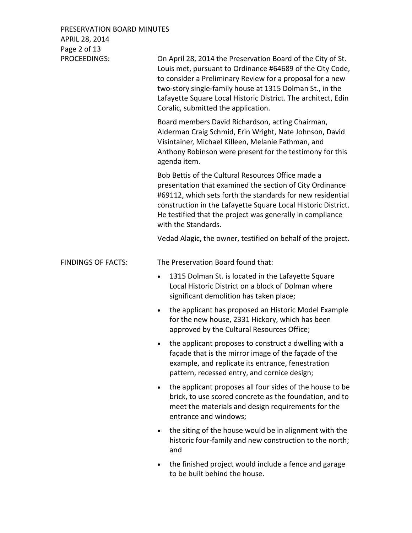| PRESERVATION BOARD MINUTES<br>APRIL 28, 2014 |                                                                                                                                                                                                                                                                                                                                                           |
|----------------------------------------------|-----------------------------------------------------------------------------------------------------------------------------------------------------------------------------------------------------------------------------------------------------------------------------------------------------------------------------------------------------------|
| Page 2 of 13                                 |                                                                                                                                                                                                                                                                                                                                                           |
| PROCEEDINGS:                                 | On April 28, 2014 the Preservation Board of the City of St.<br>Louis met, pursuant to Ordinance #64689 of the City Code,<br>to consider a Preliminary Review for a proposal for a new<br>two-story single-family house at 1315 Dolman St., in the<br>Lafayette Square Local Historic District. The architect, Edin<br>Coralic, submitted the application. |
|                                              | Board members David Richardson, acting Chairman,<br>Alderman Craig Schmid, Erin Wright, Nate Johnson, David<br>Visintainer, Michael Killeen, Melanie Fathman, and<br>Anthony Robinson were present for the testimony for this<br>agenda item.                                                                                                             |
|                                              | Bob Bettis of the Cultural Resources Office made a<br>presentation that examined the section of City Ordinance<br>#69112, which sets forth the standards for new residential<br>construction in the Lafayette Square Local Historic District.<br>He testified that the project was generally in compliance<br>with the Standards.                         |
|                                              | Vedad Alagic, the owner, testified on behalf of the project.                                                                                                                                                                                                                                                                                              |
|                                              |                                                                                                                                                                                                                                                                                                                                                           |
| <b>FINDINGS OF FACTS:</b>                    | The Preservation Board found that:                                                                                                                                                                                                                                                                                                                        |
|                                              | 1315 Dolman St. is located in the Lafayette Square<br>$\bullet$<br>Local Historic District on a block of Dolman where<br>significant demolition has taken place;                                                                                                                                                                                          |
|                                              | the applicant has proposed an Historic Model Example<br>for the new house, 2331 Hickory, which has been<br>approved by the Cultural Resources Office;                                                                                                                                                                                                     |
|                                              | the applicant proposes to construct a dwelling with a<br>façade that is the mirror image of the façade of the<br>example, and replicate its entrance, fenestration<br>pattern, recessed entry, and cornice design;                                                                                                                                        |
|                                              | the applicant proposes all four sides of the house to be<br>brick, to use scored concrete as the foundation, and to<br>meet the materials and design requirements for the<br>entrance and windows;                                                                                                                                                        |
|                                              | the siting of the house would be in alignment with the<br>$\bullet$<br>historic four-family and new construction to the north;<br>and                                                                                                                                                                                                                     |
|                                              | the finished project would include a fence and garage<br>to be built behind the house.                                                                                                                                                                                                                                                                    |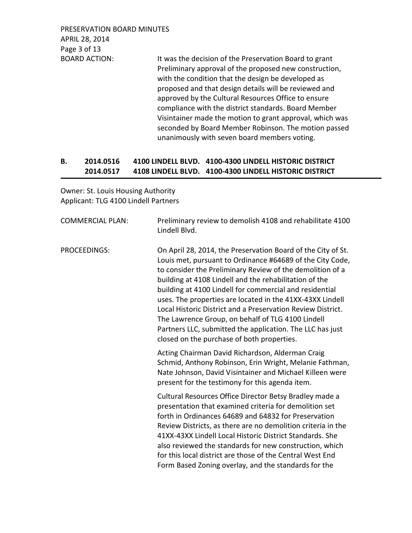PRESERVATION BOARD MINUTES APRIL 28, 2014 Page 3 of 13

BOARD ACTION: It was the decision of the Preservation Board to grant Preliminary approval of the proposed new construction, with the condition that the design be developed as proposed and that design details will be reviewed and approved by the Cultural Resources Office to ensure compliance with the district standards. Board Member Visintainer made the motion to grant approval, which was seconded by Board Member Robinson. The motion passed unanimously with seven board members voting.

## **B. 2014.0516 4100 LINDELL BLVD. 4100-4300 LINDELL HISTORIC DISTRICT 2014.0517 4108 LINDELL BLVD. 4100-4300 LINDELL HISTORIC DISTRICT**

Owner: St. Louis Housing Authority Applicant: TLG 4100 Lindell Partners

| <b>COMMERCIAL PLAN:</b> | Preliminary review to demolish 4108 and rehabilitate 4100<br>Lindell Blvd.                                                                                                                                                                                                                                                                                                                                                                                                                                                                                                                              |
|-------------------------|---------------------------------------------------------------------------------------------------------------------------------------------------------------------------------------------------------------------------------------------------------------------------------------------------------------------------------------------------------------------------------------------------------------------------------------------------------------------------------------------------------------------------------------------------------------------------------------------------------|
| PROCEEDINGS:            | On April 28, 2014, the Preservation Board of the City of St.<br>Louis met, pursuant to Ordinance #64689 of the City Code,<br>to consider the Preliminary Review of the demolition of a<br>building at 4108 Lindell and the rehabilitation of the<br>building at 4100 Lindell for commercial and residential<br>uses. The properties are located in the 41XX-43XX Lindell<br>Local Historic District and a Preservation Review District.<br>The Lawrence Group, on behalf of TLG 4100 Lindell<br>Partners LLC, submitted the application. The LLC has just<br>closed on the purchase of both properties. |
|                         | Acting Chairman David Richardson, Alderman Craig<br>Schmid, Anthony Robinson, Erin Wright, Melanie Fathman,<br>Nate Johnson, David Visintainer and Michael Killeen were<br>present for the testimony for this agenda item.                                                                                                                                                                                                                                                                                                                                                                              |
|                         | Cultural Resources Office Director Betsy Bradley made a<br>presentation that examined criteria for demolition set<br>forth in Ordinances 64689 and 64832 for Preservation<br>Review Districts, as there are no demolition criteria in the<br>41XX-43XX Lindell Local Historic District Standards. She<br>also reviewed the standards for new construction, which<br>for this local district are those of the Central West End<br>Form Based Zoning overlay, and the standards for the                                                                                                                   |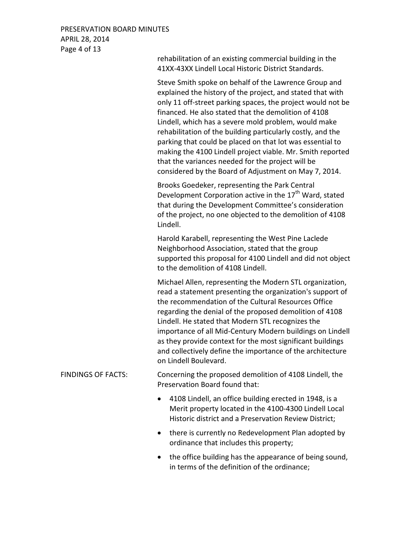### PRESERVATION BOARD MINUTES APRIL 28, 2014 Page 4 of 13

41XX-43XX Lindell Local Historic District Standards. Steve Smith spoke on behalf of the Lawrence Group and explained the history of the project, and stated that with only 11 off-street parking spaces, the project would not be financed. He also stated that the demolition of 4108 Lindell, which has a severe mold problem, would make rehabilitation of the building particularly costly, and the parking that could be placed on that lot was essential to making the 4100 Lindell project viable. Mr. Smith reported that the variances needed for the project will be considered by the Board of Adjustment on May 7, 2014. Brooks Goedeker, representing the Park Central Development Corporation active in the 17<sup>th</sup> Ward, stated that during the Development Committee's consideration of the project, no one objected to the demolition of 4108 Lindell. Harold Karabell, representing the West Pine Laclede Neighborhood Association, stated that the group supported this proposal for 4100 Lindell and did not object to the demolition of 4108 Lindell. Michael Allen, representing the Modern STL organization, read a statement presenting the organization's support of the recommendation of the Cultural Resources Office regarding the denial of the proposed demolition of 4108 Lindell. He stated that Modern STL recognizes the importance of all Mid-Century Modern buildings on Lindell as they provide context for the most significant buildings and collectively define the importance of the architecture on Lindell Boulevard. FINDINGS OF FACTS: Concerning the proposed demolition of 4108 Lindell, the Preservation Board found that: • 4108 Lindell, an office building erected in 1948, is a Merit property located in the 4100-4300 Lindell Local Historic district and a Preservation Review District;

rehabilitation of an existing commercial building in the

- there is currently no Redevelopment Plan adopted by ordinance that includes this property;
- the office building has the appearance of being sound, in terms of the definition of the ordinance;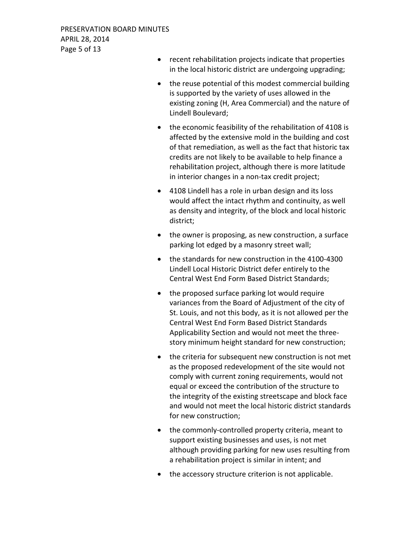- recent rehabilitation projects indicate that properties in the local historic district are undergoing upgrading;
- the reuse potential of this modest commercial building is supported by the variety of uses allowed in the existing zoning (H, Area Commercial) and the nature of Lindell Boulevard;
- the economic feasibility of the rehabilitation of 4108 is affected by the extensive mold in the building and cost of that remediation, as well as the fact that historic tax credits are not likely to be available to help finance a rehabilitation project, although there is more latitude in interior changes in a non-tax credit project;
- 4108 Lindell has a role in urban design and its loss would affect the intact rhythm and continuity, as well as density and integrity, of the block and local historic district;
- the owner is proposing, as new construction, a surface parking lot edged by a masonry street wall;
- the standards for new construction in the 4100-4300 Lindell Local Historic District defer entirely to the Central West End Form Based District Standards;
- the proposed surface parking lot would require variances from the Board of Adjustment of the city of St. Louis, and not this body, as it is not allowed per the Central West End Form Based District Standards Applicability Section and would not meet the threestory minimum height standard for new construction;
- the criteria for subsequent new construction is not met as the proposed redevelopment of the site would not comply with current zoning requirements, would not equal or exceed the contribution of the structure to the integrity of the existing streetscape and block face and would not meet the local historic district standards for new construction;
- the commonly-controlled property criteria, meant to support existing businesses and uses, is not met although providing parking for new uses resulting from a rehabilitation project is similar in intent; and
- the accessory structure criterion is not applicable.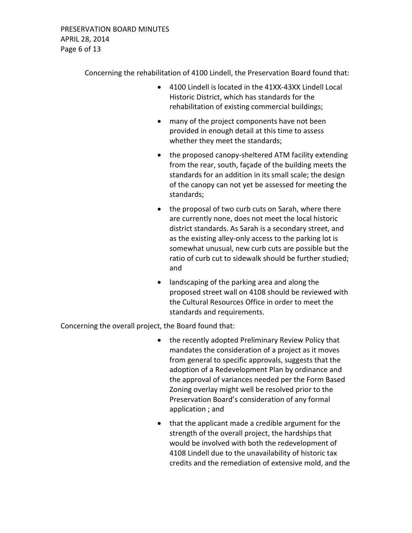Concerning the rehabilitation of 4100 Lindell, the Preservation Board found that:

- 4100 Lindell is located in the 41XX-43XX Lindell Local Historic District, which has standards for the rehabilitation of existing commercial buildings;
- many of the project components have not been provided in enough detail at this time to assess whether they meet the standards;
- the proposed canopy-sheltered ATM facility extending from the rear, south, façade of the building meets the standards for an addition in its small scale; the design of the canopy can not yet be assessed for meeting the standards;
- the proposal of two curb cuts on Sarah, where there are currently none, does not meet the local historic district standards. As Sarah is a secondary street, and as the existing alley-only access to the parking lot is somewhat unusual, new curb cuts are possible but the ratio of curb cut to sidewalk should be further studied; and
- landscaping of the parking area and along the proposed street wall on 4108 should be reviewed with the Cultural Resources Office in order to meet the standards and requirements.

Concerning the overall project, the Board found that:

- the recently adopted Preliminary Review Policy that mandates the consideration of a project as it moves from general to specific approvals, suggests that the adoption of a Redevelopment Plan by ordinance and the approval of variances needed per the Form Based Zoning overlay might well be resolved prior to the Preservation Board's consideration of any formal application ; and
- that the applicant made a credible argument for the strength of the overall project, the hardships that would be involved with both the redevelopment of 4108 Lindell due to the unavailability of historic tax credits and the remediation of extensive mold, and the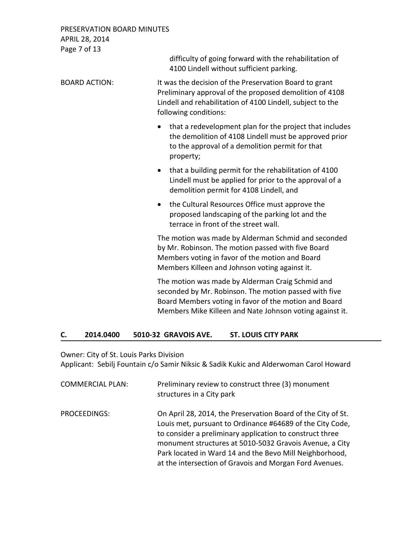PRESERVATION BOARD MINUTES APRIL 28, 2014 Page 7 of 13

> difficulty of going forward with the rehabilitation of 4100 Lindell without sufficient parking.

BOARD ACTION: It was the decision of the Preservation Board to grant Preliminary approval of the proposed demolition of 4108 Lindell and rehabilitation of 4100 Lindell, subject to the following conditions:

- that a redevelopment plan for the project that includes the demolition of 4108 Lindell must be approved prior to the approval of a demolition permit for that property;
- that a building permit for the rehabilitation of 4100 Lindell must be applied for prior to the approval of a demolition permit for 4108 Lindell, and
- the Cultural Resources Office must approve the proposed landscaping of the parking lot and the terrace in front of the street wall.

The motion was made by Alderman Schmid and seconded by Mr. Robinson. The motion passed with five Board Members voting in favor of the motion and Board Members Killeen and Johnson voting against it.

The motion was made by Alderman Craig Schmid and seconded by Mr. Robinson. The motion passed with five Board Members voting in favor of the motion and Board Members Mike Killeen and Nate Johnson voting against it.

# **C. 2014.0400 5010-32 GRAVOIS AVE. ST. LOUIS CITY PARK**

Owner: City of St. Louis Parks Division

Applicant: Sebilj Fountain c/o Samir Niksic & Sadik Kukic and Alderwoman Carol Howard

| <b>COMMERCIAL PLAN:</b> | Preliminary review to construct three (3) monument<br>structures in a City park                                                                                                                                                                                                                                                                                        |
|-------------------------|------------------------------------------------------------------------------------------------------------------------------------------------------------------------------------------------------------------------------------------------------------------------------------------------------------------------------------------------------------------------|
| PROCEEDINGS:            | On April 28, 2014, the Preservation Board of the City of St.<br>Louis met, pursuant to Ordinance #64689 of the City Code,<br>to consider a preliminary application to construct three<br>monument structures at 5010-5032 Gravois Avenue, a City<br>Park located in Ward 14 and the Bevo Mill Neighborhood,<br>at the intersection of Gravois and Morgan Ford Avenues. |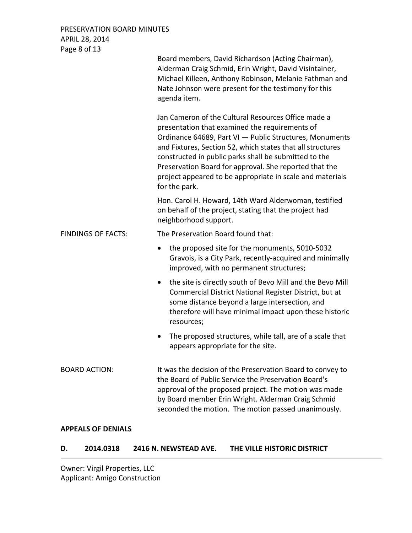PRESERVATION BOARD MINUTES APRIL 28, 2014 Page 8 of 13

| Lage o or To              | Board members, David Richardson (Acting Chairman),<br>Alderman Craig Schmid, Erin Wright, David Visintainer,<br>Michael Killeen, Anthony Robinson, Melanie Fathman and<br>Nate Johnson were present for the testimony for this<br>agenda item.                                                                                                                                                                                  |
|---------------------------|---------------------------------------------------------------------------------------------------------------------------------------------------------------------------------------------------------------------------------------------------------------------------------------------------------------------------------------------------------------------------------------------------------------------------------|
|                           | Jan Cameron of the Cultural Resources Office made a<br>presentation that examined the requirements of<br>Ordinance 64689, Part VI - Public Structures, Monuments<br>and Fixtures, Section 52, which states that all structures<br>constructed in public parks shall be submitted to the<br>Preservation Board for approval. She reported that the<br>project appeared to be appropriate in scale and materials<br>for the park. |
|                           | Hon. Carol H. Howard, 14th Ward Alderwoman, testified<br>on behalf of the project, stating that the project had<br>neighborhood support.                                                                                                                                                                                                                                                                                        |
| <b>FINDINGS OF FACTS:</b> | The Preservation Board found that:                                                                                                                                                                                                                                                                                                                                                                                              |
|                           | the proposed site for the monuments, 5010-5032<br>٠<br>Gravois, is a City Park, recently-acquired and minimally<br>improved, with no permanent structures;                                                                                                                                                                                                                                                                      |
|                           | the site is directly south of Bevo Mill and the Bevo Mill<br>$\bullet$<br>Commercial District National Register District, but at<br>some distance beyond a large intersection, and<br>therefore will have minimal impact upon these historic<br>resources;                                                                                                                                                                      |
|                           | The proposed structures, while tall, are of a scale that<br>$\bullet$<br>appears appropriate for the site.                                                                                                                                                                                                                                                                                                                      |
| <b>BOARD ACTION:</b>      | It was the decision of the Preservation Board to convey to<br>the Board of Public Service the Preservation Board's<br>approval of the proposed project. The motion was made<br>by Board member Erin Wright. Alderman Craig Schmid<br>seconded the motion. The motion passed unanimously.                                                                                                                                        |

### **APPEALS OF DENIALS**

# **D. 2014.0318 2416 N. NEWSTEAD AVE. THE VILLE HISTORIC DISTRICT**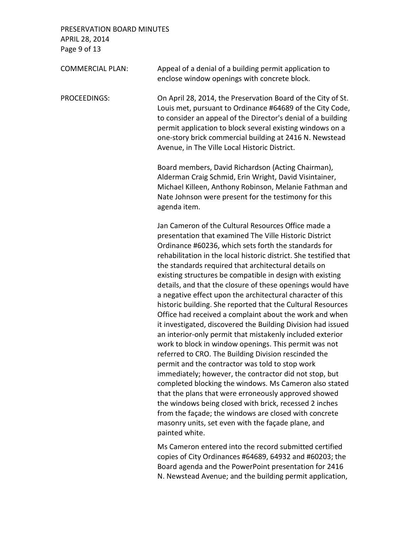PRESERVATION BOARD MINUTES APRIL 28, 2014 Page 9 of 13

| <b>COMMERCIAL PLAN:</b> | Appeal of a denial of a building permit application to<br>enclose window openings with concrete block.                                                                                                                                                                                                                                                                                                                                                                                                                                                                                                                                                                                                                                                                                                                                                                                                                                                                                                                                                                                                                                                                                                                                                                      |
|-------------------------|-----------------------------------------------------------------------------------------------------------------------------------------------------------------------------------------------------------------------------------------------------------------------------------------------------------------------------------------------------------------------------------------------------------------------------------------------------------------------------------------------------------------------------------------------------------------------------------------------------------------------------------------------------------------------------------------------------------------------------------------------------------------------------------------------------------------------------------------------------------------------------------------------------------------------------------------------------------------------------------------------------------------------------------------------------------------------------------------------------------------------------------------------------------------------------------------------------------------------------------------------------------------------------|
| PROCEEDINGS:            | On April 28, 2014, the Preservation Board of the City of St.<br>Louis met, pursuant to Ordinance #64689 of the City Code,<br>to consider an appeal of the Director's denial of a building<br>permit application to block several existing windows on a<br>one-story brick commercial building at 2416 N. Newstead<br>Avenue, in The Ville Local Historic District.                                                                                                                                                                                                                                                                                                                                                                                                                                                                                                                                                                                                                                                                                                                                                                                                                                                                                                          |
|                         | Board members, David Richardson (Acting Chairman),<br>Alderman Craig Schmid, Erin Wright, David Visintainer,<br>Michael Killeen, Anthony Robinson, Melanie Fathman and<br>Nate Johnson were present for the testimony for this<br>agenda item.                                                                                                                                                                                                                                                                                                                                                                                                                                                                                                                                                                                                                                                                                                                                                                                                                                                                                                                                                                                                                              |
|                         | Jan Cameron of the Cultural Resources Office made a<br>presentation that examined The Ville Historic District<br>Ordinance #60236, which sets forth the standards for<br>rehabilitation in the local historic district. She testified that<br>the standards required that architectural details on<br>existing structures be compatible in design with existing<br>details, and that the closure of these openings would have<br>a negative effect upon the architectural character of this<br>historic building. She reported that the Cultural Resources<br>Office had received a complaint about the work and when<br>it investigated, discovered the Building Division had issued<br>an interior-only permit that mistakenly included exterior<br>work to block in window openings. This permit was not<br>referred to CRO. The Building Division rescinded the<br>permit and the contractor was told to stop work<br>immediately; however, the contractor did not stop, but<br>completed blocking the windows. Ms Cameron also stated<br>that the plans that were erroneously approved showed<br>the windows being closed with brick, recessed 2 inches<br>from the façade; the windows are closed with concrete<br>masonry units, set even with the façade plane, and |

painted white.

Ms Cameron entered into the record submitted certified copies of City Ordinances #64689, 64932 and #60203; the Board agenda and the PowerPoint presentation for 2416 N. Newstead Avenue; and the building permit application,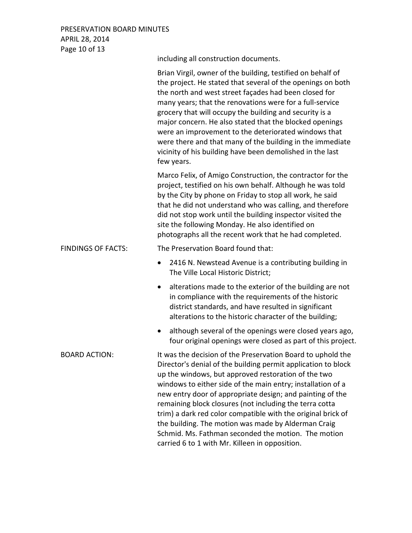PRESERVATION BOARD MINUTES APRIL 28, 2014 Page 10 of 13

|                           | including all construction documents.                                                                                                                                                                                                                                                                                                                                                                                                                                                                                                                                                                      |
|---------------------------|------------------------------------------------------------------------------------------------------------------------------------------------------------------------------------------------------------------------------------------------------------------------------------------------------------------------------------------------------------------------------------------------------------------------------------------------------------------------------------------------------------------------------------------------------------------------------------------------------------|
|                           | Brian Virgil, owner of the building, testified on behalf of<br>the project. He stated that several of the openings on both<br>the north and west street façades had been closed for<br>many years; that the renovations were for a full-service<br>grocery that will occupy the building and security is a<br>major concern. He also stated that the blocked openings<br>were an improvement to the deteriorated windows that<br>were there and that many of the building in the immediate<br>vicinity of his building have been demolished in the last<br>few years.                                      |
|                           | Marco Felix, of Amigo Construction, the contractor for the<br>project, testified on his own behalf. Although he was told<br>by the City by phone on Friday to stop all work, he said<br>that he did not understand who was calling, and therefore<br>did not stop work until the building inspector visited the<br>site the following Monday. He also identified on<br>photographs all the recent work that he had completed.                                                                                                                                                                              |
| <b>FINDINGS OF FACTS:</b> | The Preservation Board found that:                                                                                                                                                                                                                                                                                                                                                                                                                                                                                                                                                                         |
|                           | 2416 N. Newstead Avenue is a contributing building in<br>The Ville Local Historic District;                                                                                                                                                                                                                                                                                                                                                                                                                                                                                                                |
|                           | alterations made to the exterior of the building are not<br>in compliance with the requirements of the historic<br>district standards, and have resulted in significant<br>alterations to the historic character of the building;                                                                                                                                                                                                                                                                                                                                                                          |
|                           | although several of the openings were closed years ago,<br>four original openings were closed as part of this project.                                                                                                                                                                                                                                                                                                                                                                                                                                                                                     |
| <b>BOARD ACTION:</b>      | It was the decision of the Preservation Board to uphold the<br>Director's denial of the building permit application to block<br>up the windows, but approved restoration of the two<br>windows to either side of the main entry; installation of a<br>new entry door of appropriate design; and painting of the<br>remaining block closures (not including the terra cotta<br>trim) a dark red color compatible with the original brick of<br>the building. The motion was made by Alderman Craig<br>Schmid. Ms. Fathman seconded the motion. The motion<br>carried 6 to 1 with Mr. Killeen in opposition. |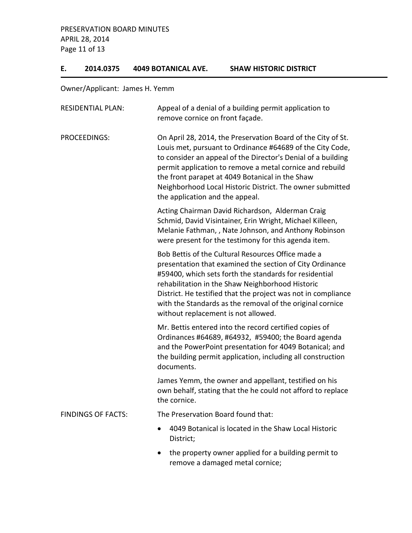PRESERVATION BOARD MINUTES APRIL 28, 2014 Page 11 of 13

### **E. 2014.0375 4049 BOTANICAL AVE. SHAW HISTORIC DISTRICT**

Owner/Applicant: James H. Yemm

| <b>RESIDENTIAL PLAN:</b>  | Appeal of a denial of a building permit application to<br>remove cornice on front façade.                                                                                                                                                                                                                                                                                                                |
|---------------------------|----------------------------------------------------------------------------------------------------------------------------------------------------------------------------------------------------------------------------------------------------------------------------------------------------------------------------------------------------------------------------------------------------------|
| <b>PROCEEDINGS:</b>       | On April 28, 2014, the Preservation Board of the City of St.<br>Louis met, pursuant to Ordinance #64689 of the City Code,<br>to consider an appeal of the Director's Denial of a building<br>permit application to remove a metal cornice and rebuild<br>the front parapet at 4049 Botanical in the Shaw<br>Neighborhood Local Historic District. The owner submitted<br>the application and the appeal. |
|                           | Acting Chairman David Richardson, Alderman Craig<br>Schmid, David Visintainer, Erin Wright, Michael Killeen,<br>Melanie Fathman, , Nate Johnson, and Anthony Robinson<br>were present for the testimony for this agenda item.                                                                                                                                                                            |
|                           | Bob Bettis of the Cultural Resources Office made a<br>presentation that examined the section of City Ordinance<br>#59400, which sets forth the standards for residential<br>rehabilitation in the Shaw Neighborhood Historic<br>District. He testified that the project was not in compliance<br>with the Standards as the removal of the original cornice<br>without replacement is not allowed.        |
|                           | Mr. Bettis entered into the record certified copies of<br>Ordinances #64689, #64932, #59400; the Board agenda<br>and the PowerPoint presentation for 4049 Botanical; and<br>the building permit application, including all construction<br>documents.                                                                                                                                                    |
|                           | James Yemm, the owner and appellant, testified on his<br>own behalf, stating that the he could not afford to replace<br>the cornice.                                                                                                                                                                                                                                                                     |
| <b>FINDINGS OF FACTS:</b> | The Preservation Board found that:                                                                                                                                                                                                                                                                                                                                                                       |
|                           | 4049 Botanical is located in the Shaw Local Historic<br>District;                                                                                                                                                                                                                                                                                                                                        |
|                           | the property owner applied for a building permit to<br>remove a damaged metal cornice;                                                                                                                                                                                                                                                                                                                   |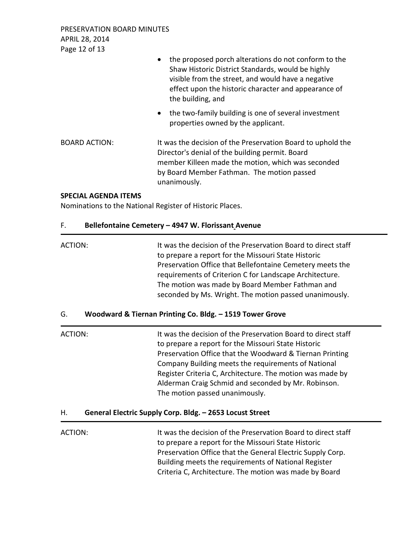PRESERVATION BOARD MINUTES APRIL 28, 2014 Page 12 of 13

| • the proposed porch alterations do not conform to the |
|--------------------------------------------------------|
| Shaw Historic District Standards, would be highly      |
| visible from the street, and would have a negative     |
| effect upon the historic character and appearance of   |
| the building, and                                      |

• the two-family building is one of several investment properties owned by the applicant.

BOARD ACTION: It was the decision of the Preservation Board to uphold the Director's denial of the building permit. Board member Killeen made the motion, which was seconded by Board Member Fathman. The motion passed unanimously.

### **SPECIAL AGENDA ITEMS**

Nominations to the National Register of Historic Places.

### F. **Bellefontaine Cemetery – 4947 W. Florissant Avenue**

| ACTION: | It was the decision of the Preservation Board to direct staff |
|---------|---------------------------------------------------------------|
|         | to prepare a report for the Missouri State Historic           |
|         | Preservation Office that Bellefontaine Cemetery meets the     |
|         | requirements of Criterion C for Landscape Architecture.       |
|         | The motion was made by Board Member Fathman and               |
|         | seconded by Ms. Wright. The motion passed unanimously.        |

### G. **Woodward & Tiernan Printing Co. Bldg. – 1519 Tower Grove**

| ACTION: | It was the decision of the Preservation Board to direct staff |
|---------|---------------------------------------------------------------|
|         | to prepare a report for the Missouri State Historic           |
|         | Preservation Office that the Woodward & Tiernan Printing      |
|         | Company Building meets the requirements of National           |
|         | Register Criteria C, Architecture. The motion was made by     |
|         | Alderman Craig Schmid and seconded by Mr. Robinson.           |
|         | The motion passed unanimously.                                |
|         |                                                               |

### H. **General Electric Supply Corp. Bldg. – 2653 Locust Street**

ACTION: It was the decision of the Preservation Board to direct staff to prepare a report for the Missouri State Historic Preservation Office that the General Electric Supply Corp. Building meets the requirements of National Register Criteria C, Architecture. The motion was made by Board